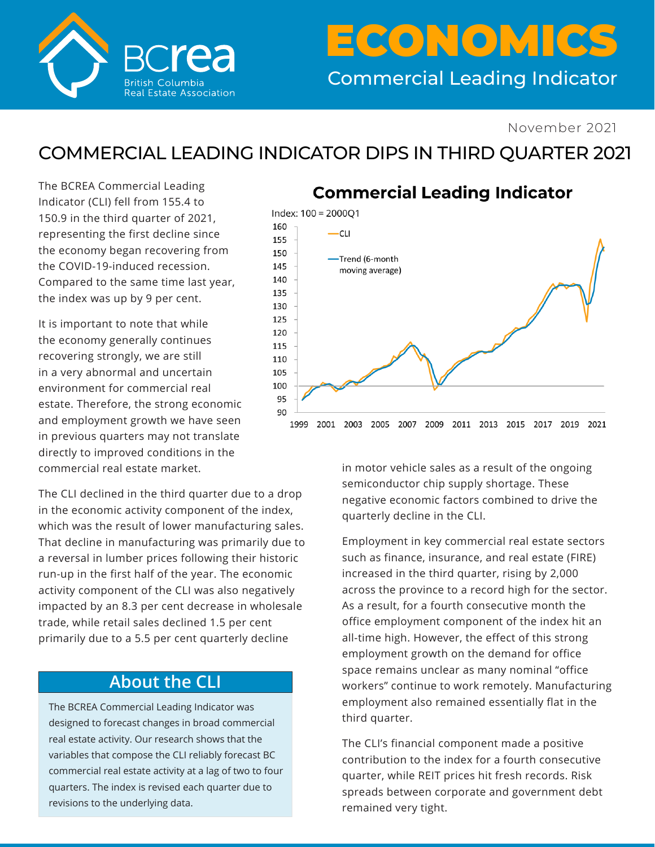

# Commercial Leading Indicator ECONOMICS

#### November 2021

## COMMERCIAL LEADING INDICATOR DIPS IN THIRD QUARTER 2021

The BCREA Commercial Leading Indicator (CLI) fell from 155.4 to 150.9 in the third quarter of 2021, representing the first decline since the economy began recovering from the COVID-19-induced recession. Compared to the same time last year, the index was up by 9 per cent.

It is important to note that while the economy generally continues recovering strongly, we are still in a very abnormal and uncertain environment for commercial real estate. Therefore, the strong economic and employment growth we have seen in previous quarters may not translate directly to improved conditions in the commercial real estate market.

The CLI declined in the third quarter due to a drop in the economic activity component of the index, which was the result of lower manufacturing sales. That decline in manufacturing was primarily due to a reversal in lumber prices following their historic run-up in the first half of the year. The economic activity component of the CLI was also negatively impacted by an 8.3 per cent decrease in wholesale trade, while retail sales declined 1.5 per cent primarily due to a 5.5 per cent quarterly decline

#### **About the CLI**

The BCREA Commercial Leading Indicator was designed to forecast changes in broad commercial real estate activity. Our research shows that the variables that compose the CLI reliably forecast BC commercial real estate activity at a lag of two to four quarters. The index is revised each quarter due to revisions to the underlying data.

### **Commercial Leading Indicator**



in motor vehicle sales as a result of the ongoing semiconductor chip supply shortage. These negative economic factors combined to drive the quarterly decline in the CLI.

Employment in key commercial real estate sectors such as finance, insurance, and real estate (FIRE) increased in the third quarter, rising by 2,000 across the province to a record high for the sector. As a result, for a fourth consecutive month the office employment component of the index hit an all-time high. However, the effect of this strong employment growth on the demand for office space remains unclear as many nominal "office workers" continue to work remotely. Manufacturing employment also remained essentially flat in the third quarter.

The CLI's financial component made a positive contribution to the index for a fourth consecutive quarter, while REIT prices hit fresh records. Risk spreads between corporate and government debt remained very tight.